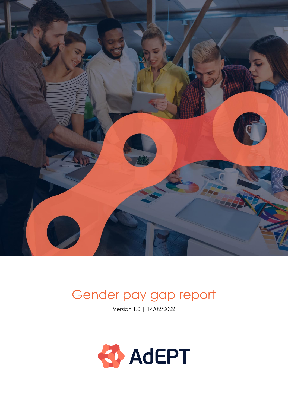

# Gender pay gap report

Version 1.0 | 14/02/2022

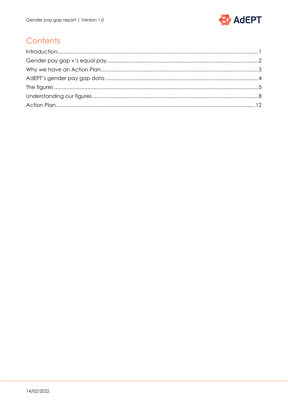

# Contents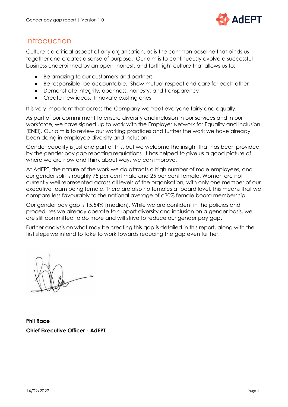

### <span id="page-2-0"></span>Introduction

Culture is a critical aspect of any organisation, as is the common baseline that binds us together and creates a sense of purpose. Our aim is to continuously evolve a successful business underpinned by an open, honest, and forthright culture that allows us to;

- Be amazing to our customers and partners
- Be responsible, be accountable. Show mutual respect and care for each other
- Demonstrate integrity, openness, honesty, and transparency
- Create new ideas. Innovate existing ones

It is very important that across the Company we treat everyone fairly and equally.

As part of our commitment to ensure diversity and inclusion in our services and in our workforce, we have signed up to work with the Employer Network for Equality and Inclusion (ENEI). Our aim is to review our working practices and further the work we have already been doing in employee diversity and inclusion.

Gender equality is just one part of this, but we welcome the insight that has been provided by the gender pay gap reporting regulations. It has helped to give us a good picture of where we are now and think about ways we can improve.

At AdEPT, the nature of the work we do attracts a high number of male employees, and our gender split is roughly 75 per cent male and 25 per cent female. Women are not currently well represented across all levels of the organisation, with only one member of our executive team being female. There are also no females at board level, this means that we compare less favourably to the national average of c30% female board membership.

Our gender pay gap is 15.54% (median). While we are confident in the policies and procedures we already operate to support diversity and inclusion on a gender basis, we are still committed to do more and will strive to reduce our gender pay gap.

Further analysis on what may be creating this gap is detailed in this report, along with the first steps we intend to take to work towards reducing the gap even further.

**Phil Race Chief Executive Officer - AdEPT**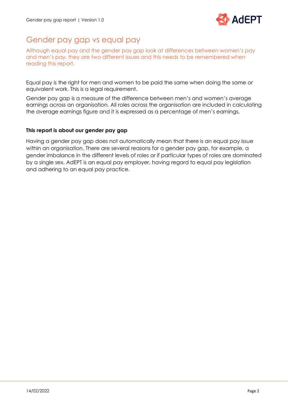

### <span id="page-3-0"></span>Gender pay gap vs equal pay

Although equal pay and the gender pay gap look at differences between women's pay and men's pay, they are two different issues and this needs to be remembered when reading this report.

Equal pay is the right for men and women to be paid the same when doing the same or equivalent work. This is a legal requirement.

Gender pay gap is a measure of the difference between men's and women's average earnings across an organisation. All roles across the organisation are included in calculating the average earnings figure and it is expressed as a percentage of men's earnings.

### **This report is about our gender pay gap**

Having a gender pay gap does not automatically mean that there is an equal pay issue within an organisation. There are several reasons for a gender pay gap, for example, a gender imbalance in the different levels of roles or if particular types of roles are dominated by a single sex. AdEPT is an equal pay employer, having regard to equal pay legislation and adhering to an equal pay practice.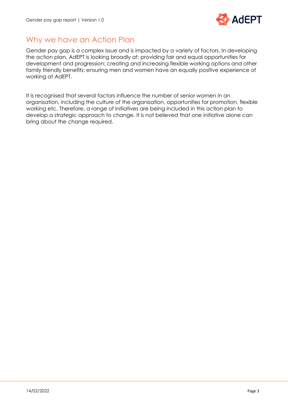

### <span id="page-4-0"></span>Why we have an Action Plan

Gender pay gap is a complex issue and is impacted by a variety of factors. In developing the action plan, AdEPT is looking broadly at: providing fair and equal opportunities for development and progression; creating and increasing flexible working options and other family friendly benefits; ensuring men and women have an equally positive experience of working at AdEPT.

It is recognised that several factors influence the number of senior women in an organisation, including the culture of the organisation, opportunities for promotion, flexible working etc. Therefore, a range of initiatives are being included in this action plan to develop a strategic approach to change. It is not believed that one initiative alone can bring about the change required.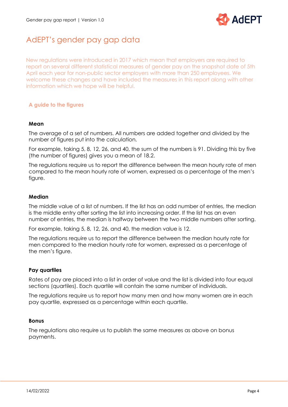

## <span id="page-5-0"></span>AdEPT's gender pay gap data

New regulations were introduced in 2017 which mean that employers are required to report on several different statistical measures of gender pay on the snapshot date of 5th April each year for non-public sector employers with more than 250 employees. We welcome these changes and have included the measures in this report along with other information which we hope will be helpful.

### **A guide to the figures**

### **Mean**

The average of a set of numbers. All numbers are added together and divided by the number of figures put into the calculation.

For example, taking 5, 8, 12, 26, and 40, the sum of the numbers is 91. Dividing this by five (the number of figures) gives you a mean of 18.2.

The regulations require us to report the difference between the mean hourly rate of men compared to the mean hourly rate of women, expressed as a percentage of the men's figure.

### **Median**

The middle value of a list of numbers. If the list has an odd number of entries, the median is the middle entry after sorting the list into increasing order. If the list has an even number of entries, the median is halfway between the two middle numbers after sorting.

For example, taking 5, 8, 12, 26, and 40, the median value is 12.

The regulations require us to report the difference between the median hourly rate for men compared to the median hourly rate for women, expressed as a percentage of the men's figure.

### **Pay quartiles**

Rates of pay are placed into a list in order of value and the list is divided into four equal sections (quartiles). Each quartile will contain the same number of individuals.

The regulations require us to report how many men and how many women are in each pay quartile, expressed as a percentage within each quartile.

#### **Bonus**

The regulations also require us to publish the same measures as above on bonus payments.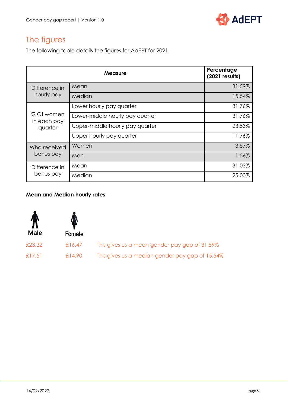

### <span id="page-6-0"></span>The figures

The following table details the figures for AdEPT for 2021.

| <b>Measure</b>                       |                                 | Percentage<br>(2021 results) |
|--------------------------------------|---------------------------------|------------------------------|
| Difference in<br>hourly pay          | Mean                            | 31.59%                       |
|                                      | Median                          | 15.54%                       |
| % Of women<br>in each pay<br>quarter | Lower hourly pay quarter        | 31.76%                       |
|                                      | Lower-middle hourly pay quarter | 31.76%                       |
|                                      | Upper-middle hourly pay quarter | 23.53%                       |
|                                      | Upper hourly pay quarter        | 11.76%                       |
| Who received<br>bonus pay            | Women                           | 3.57%                        |
|                                      | Men                             | 1.56%                        |
| Difference in<br>bonus pay           | Mean                            | 31.03%                       |
|                                      | Median                          | 25.00%                       |

### **Mean and Median hourly rates**

| Male   | Female |                                                 |
|--------|--------|-------------------------------------------------|
| £23.32 | £16.47 | This gives us a mean gender pay gap of 31.59%   |
| £17.51 | £14.90 | This gives us a median gender pay gap of 15.54% |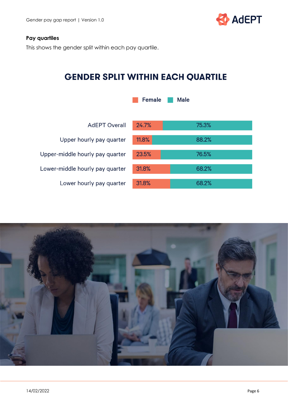

### **Pay quartiles**

This shows the gender split within each pay quartile.

# **GENDER SPLIT WITHIN EACH QUARTILE**

|                                 | <b>Female</b> | <b>Male</b> |
|---------------------------------|---------------|-------------|
| <b>AdEPT Overall</b>            | 24.7%         | 75.3%       |
| Upper hourly pay quarter        | 11.8%         | 88.2%       |
| Upper-middle hourly pay quarter | 23.5%         | 76.5%       |
| Lower-middle hourly pay quarter | 31.8%         | 68.2%       |
| Lower hourly pay quarter        | 31.8%         | 68.2%       |

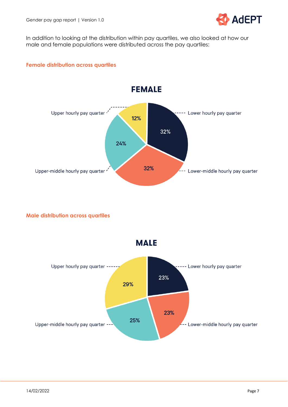

In addition to looking at the distribution within pay quartiles, we also looked at how our male and female populations were distributed across the pay quartiles:

### **Female distribution across quartiles**



### **Male distribution across quartiles**



**MALE**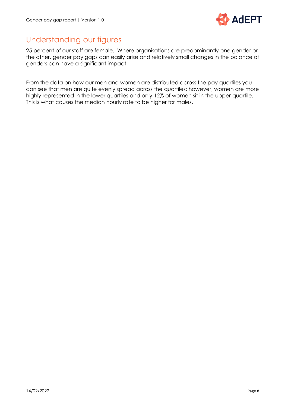

### <span id="page-9-0"></span>Understanding our figures

25 percent of our staff are female. Where organisations are predominantly one gender or the other, gender pay gaps can easily arise and relatively small changes in the balance of genders can have a significant impact.

From the data on how our men and women are distributed across the pay quartiles you can see that men are quite evenly spread across the quartiles; however, women are more highly represented in the lower quartiles and only 12% of women sit in the upper quartile. This is what causes the median hourly rate to be higher for males.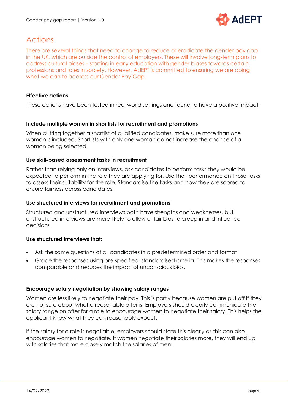

### Actions

There are several things that need to change to reduce or eradicate the gender pay gap in the UK, which are outside the control of employers. These will involve long-term plans to address cultural biases – starting in early education with gender biases towards certain professions and roles in society. However, AdEPT is committed to ensuring we are doing what we can to address our Gender Pay Gap.

### **Effective actions**

These actions have been tested in real world settings and found to have a positive impact.

### **Include multiple women in shortlists for recruitment and promotions**

When putting together a shortlist of qualified candidates, make sure more than one woman is included. Shortlists with only one woman do not increase the chance of a woman being selected.

### **Use skill-based assessment tasks in recruitment**

Rather than relying only on interviews, ask candidates to perform tasks they would be expected to perform in the role they are applying for. Use their performance on those tasks to assess their suitability for the role. Standardise the tasks and how they are scored to ensure fairness across candidates.

### **Use structured interviews for recruitment and promotions**

Structured and unstructured interviews both have strengths and weaknesses, but unstructured interviews are more likely to allow unfair bias to creep in and influence decisions.

### **Use structured interviews that:**

- Ask the same questions of all candidates in a predetermined order and format
- Grade the responses using pre-specified, standardised criteria. This makes the responses comparable and reduces the impact of unconscious bias.

#### **Encourage salary negotiation by showing salary ranges**

Women are less likely to negotiate their pay. This is partly because women are put off if they are not sure about what a reasonable offer is. Employers should clearly communicate the salary range on offer for a role to encourage women to negotiate their salary. This helps the applicant know what they can reasonably expect.

If the salary for a role is negotiable, employers should state this clearly as this can also encourage women to negotiate. If women negotiate their salaries more, they will end up with salaries that more closely match the salaries of men.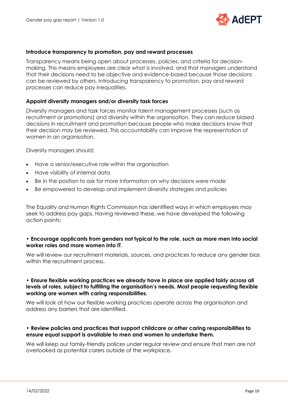

#### **Introduce transparency to promotion, pay and reward processes**

Transparency means being open about processes, policies, and criteria for decisionmaking. This means employees are clear what is involved, and that managers understand that their decisions need to be objective and evidence-based because those decisions can be reviewed by others. Introducing transparency to promotion, pay and reward processes can reduce pay inequalities.

#### **Appoint diversity managers and/or diversity task forces**

Diversity managers and task forces monitor talent management processes (such as recruitment or promotions) and diversity within the organisation. They can reduce biased decisions in recruitment and promotion because people who make decisions know that their decision may be reviewed. This accountability can improve the representation of women in an organisation.

Diversity managers should:

- Have a senior/executive role within the organisation
- Have visibility of internal data
- Be in the position to ask for more information on why decisions were made
- Be empowered to develop and implement diversity strategies and policies

The Equality and Human Rights Commission has identified ways in which employers may seek to address pay gaps. Having reviewed these, we have developed the following action points:

#### • **Encourage applicants from genders not typical to the role, such as more men into social worker roles and more women into IT**.

We will review our recruitment materials, sources, and practices to reduce any gender bias within the recruitment process.

#### • **Ensure flexible working practices we already have in place are applied fairly across all levels of roles, subject to fulfilling the organisation's needs. Most people requesting flexible working are women with caring responsibilities.**

We will look at how our flexible working practices operate across the organisation and address any barriers that are identified.

### • **Review policies and practices that support childcare or other caring responsibilities to ensure equal support is available to men and women to undertake them.**

We will keep our family-friendly polices under regular review and ensure that men are not overlooked as potential carers outside of the workplace.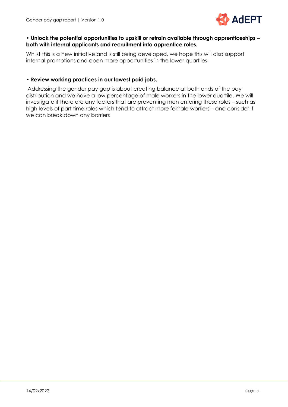

#### • **Unlock the potential opportunities to upskill or retrain available through apprenticeships – both with internal applicants and recruitment into apprentice roles.**

Whilst this is a new initiative and is still being developed, we hope this will also support internal promotions and open more opportunities in the lower quartiles.

### • **Review working practices in our lowest paid jobs.**

Addressing the gender pay gap is about creating balance at both ends of the pay distribution and we have a low percentage of male workers in the lower quartile. We will investigate if there are any factors that are preventing men entering these roles – such as high levels of part time roles which tend to attract more female workers – and consider if we can break down any barriers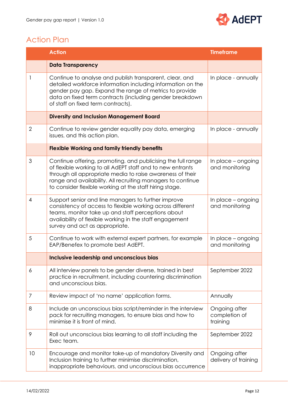

### <span id="page-13-0"></span>Action Plan

|                | <b>Action</b>                                                                                                                                                                                                                                                                                                     | <b>Timeframe</b>                           |
|----------------|-------------------------------------------------------------------------------------------------------------------------------------------------------------------------------------------------------------------------------------------------------------------------------------------------------------------|--------------------------------------------|
|                | <b>Data Transparency</b>                                                                                                                                                                                                                                                                                          |                                            |
| 1              | Continue to analyse and publish transparent, clear, and<br>detailed workforce information including information on the<br>gender pay gap. Expand the range of metrics to provide<br>data on fixed term contracts (including gender breakdown<br>of staff on fixed term contracts).                                | In place - annually                        |
|                | <b>Diversity and Inclusion Management Board</b>                                                                                                                                                                                                                                                                   |                                            |
| $\overline{2}$ | Continue to review gender equality pay data, emerging<br>issues, and this action plan.                                                                                                                                                                                                                            | In place - annually                        |
|                | <b>Flexible Working and family friendly benefits</b>                                                                                                                                                                                                                                                              |                                            |
| 3              | Continue offering, promoting, and publicising the full range<br>of flexible working to all AdEPT staff and to new entrants<br>through all appropriate media to raise awareness of their<br>range and availability. All recruiting managers to continue<br>to consider flexible working at the staff hiring stage. | In place - ongoing<br>and monitoring       |
| $\overline{4}$ | Support senior and line managers to further improve<br>consistency of access to flexible working across different<br>teams, monitor take up and staff perceptions about<br>availability of flexible working in the staff engagement<br>survey and act as appropriate.                                             | In place - ongoing<br>and monitoring       |
| 5              | Continue to work with external expert partners, for example<br>EAP/Benefex to promote best AdEPT.                                                                                                                                                                                                                 | In place - ongoing<br>and monitoring       |
|                | <b>Inclusive leadership and unconscious bias</b>                                                                                                                                                                                                                                                                  |                                            |
| 6              | All interview panels to be gender diverse, trained in best<br>practice in recruitment, including countering discrimination<br>and unconscious bias.                                                                                                                                                               | September 2022                             |
| 7              | Review impact of 'no name' application forms.                                                                                                                                                                                                                                                                     | Annually                                   |
| 8              | Include an unconscious bias script/reminder in the interview<br>pack for recruiting managers, to ensure bias and how to<br>minimise it is front of mind.                                                                                                                                                          | Ongoing after<br>completion of<br>training |
| 9              | Roll out unconscious bias learning to all staff including the<br>Exec team.                                                                                                                                                                                                                                       | September 2022                             |
| 10             | Encourage and monitor take-up of mandatory Diversity and<br>Inclusion training to further minimise discrimination,<br>inappropriate behaviours, and unconscious bias occurrence                                                                                                                                   | Ongoing after<br>delivery of training      |